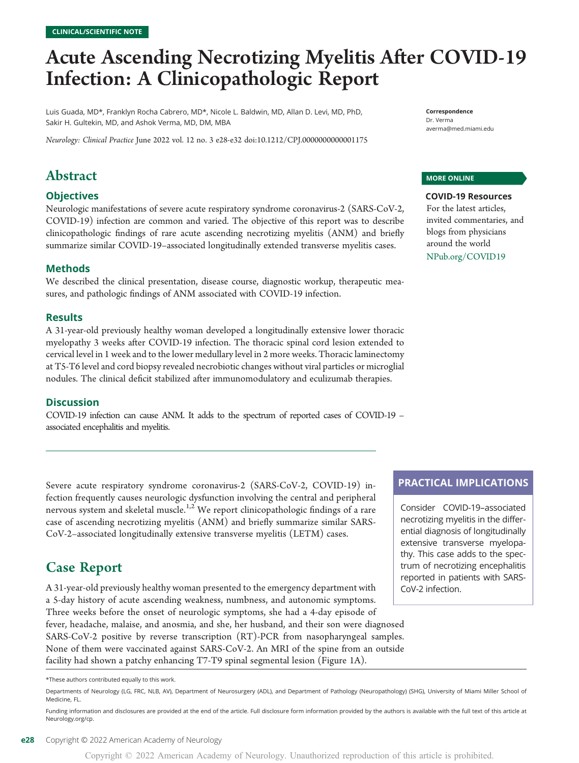# Acute Ascending Necrotizing Myelitis After COVID-19 Infection: A Clinicopathologic Report

Luis Guada, MD\*, Franklyn Rocha Cabrero, MD\*, Nicole L. Baldwin, MD, Allan D. Levi, MD, PhD, Sakir H. Gultekin, MD, and Ashok Verma, MD, DM, MBA

Neurology: Clinical Practice June 2022 vol. 12 no. 3 e28-e32 doi:[10.1212/CPJ.0000000000001175](http://dx.doi.org/10.1212/CPJ.0000000000001175)

## Abstract

#### **Objectives**

Neurologic manifestations of severe acute respiratory syndrome coronavirus-2 (SARS-CoV-2, COVID-19) infection are common and varied. The objective of this report was to describe clinicopathologic findings of rare acute ascending necrotizing myelitis (ANM) and briefly summarize similar COVID-19–associated longitudinally extended transverse myelitis cases.

#### Methods

We described the clinical presentation, disease course, diagnostic workup, therapeutic measures, and pathologic findings of ANM associated with COVID-19 infection.

#### **Results**

A 31-year-old previously healthy woman developed a longitudinally extensive lower thoracic myelopathy 3 weeks after COVID-19 infection. The thoracic spinal cord lesion extended to cervical level in 1 week and to the lower medullary level in 2 more weeks. Thoracic laminectomy at T5-T6 level and cord biopsy revealed necrobiotic changes without viral particles or microglial nodules. The clinical deficit stabilized after immunomodulatory and eculizumab therapies.

#### **Discussion**

COVID-19 infection can cause ANM. It adds to the spectrum of reported cases of COVID-19 – associated encephalitis and myelitis.

Severe acute respiratory syndrome coronavirus-2 (SARS-CoV-2, COVID-19) infection frequently causes neurologic dysfunction involving the central and peripheral nervous system and skeletal muscle.<sup>1,2</sup> We report clinicopathologic findings of a rare case of ascending necrotizing myelitis (ANM) and briefly summarize similar SARS-CoV-2–associated longitudinally extensive transverse myelitis (LETM) cases.

### Case Report

A 31-year-old previously healthy woman presented to the emergency department with a 5-day history of acute ascending weakness, numbness, and autonomic symptoms. Three weeks before the onset of neurologic symptoms, she had a 4-day episode of fever, headache, malaise, and anosmia, and she, her husband, and their son were diagnosed SARS-CoV-2 positive by reverse transcription (RT)-PCR from nasopharyngeal samples. None of them were vaccinated against SARS-CoV-2. An MRI of the spine from an outside facility had shown a patchy enhancing T7-T9 spinal segmental lesion (Figure 1A).

Correspondence Dr. Verma [averma@med.miami.edu](mailto:averma@med.miami.edu)

#### MORE ONLINE

COVID-19 Resources For the latest articles, invited commentaries, and blogs from physicians around the world [NPub.org/COVID19](http://NPub.org/COVID19)

#### PRACTICAL IMPLICATIONS

Consider COVID-19–associated necrotizing myelitis in the differential diagnosis of longitudinally extensive transverse myelopathy. This case adds to the spectrum of necrotizing encephalitis reported in patients with SARS-CoV-2 infection.

Copyright © 2022 American Academy of Neurology. Unauthorized reproduction of this article is prohibited.

<sup>\*</sup>These authors contributed equally to this work.

Departments of Neurology (LG, FRC, NLB, AV), Department of Neurosurgery (ADL), and Department of Pathology (Neuropathology) (SHG), University of Miami Miller School of Medicine, FL.

Funding information and disclosures are provided at the end of the article. Full disclosure form information provided by the authors is available with the full text of this article at [Neurology.org/cp](https://cp.neurology.org/lookup/doi/10.1212/CPJ.0000000000001175).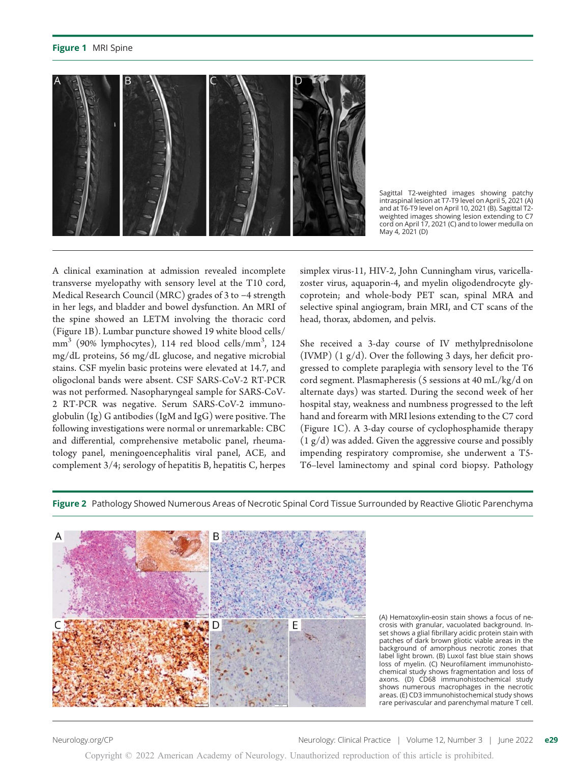#### Figure 1 MRI Spine



Sagittal T2-weighted images showing patchy intraspinal lesion at T7-T9 level on April 5, 2021 (A) and at T6-T9 level on April 10, 2021 (B). Sagittal T2 weighted images showing lesion extending to C7 cord on April 17, 2021 (C) and to lower medulla on May 4, 2021 (D)

A clinical examination at admission revealed incomplete transverse myelopathy with sensory level at the T10 cord, Medical Research Council (MRC) grades of 3 to −4 strength in her legs, and bladder and bowel dysfunction. An MRI of the spine showed an LETM involving the thoracic cord (Figure 1B). Lumbar puncture showed 19 white blood cells/  $mm<sup>3</sup>$  (90% lymphocytes), 114 red blood cells/mm<sup>3</sup>, 124 mg/dL proteins, 56 mg/dL glucose, and negative microbial stains. CSF myelin basic proteins were elevated at 14.7, and oligoclonal bands were absent. CSF SARS-CoV-2 RT-PCR was not performed. Nasopharyngeal sample for SARS-CoV-2 RT-PCR was negative. Serum SARS-CoV-2 immunoglobulin (Ig) G antibodies (IgM and IgG) were positive. The following investigations were normal or unremarkable: CBC and differential, comprehensive metabolic panel, rheumatology panel, meningoencephalitis viral panel, ACE, and complement 3/4; serology of hepatitis B, hepatitis C, herpes

simplex virus-11, HIV-2, John Cunningham virus, varicellazoster virus, aquaporin-4, and myelin oligodendrocyte glycoprotein; and whole-body PET scan, spinal MRA and selective spinal angiogram, brain MRI, and CT scans of the head, thorax, abdomen, and pelvis.

She received a 3-day course of IV methylprednisolone (IVMP) (1 g/d). Over the following 3 days, her deficit progressed to complete paraplegia with sensory level to the T6 cord segment. Plasmapheresis (5 sessions at 40 mL/kg/d on alternate days) was started. During the second week of her hospital stay, weakness and numbness progressed to the left hand and forearm with MRI lesions extending to the C7 cord (Figure 1C). A 3-day course of cyclophosphamide therapy  $(1 g/d)$  was added. Given the aggressive course and possibly impending respiratory compromise, she underwent a T5- T6–level laminectomy and spinal cord biopsy. Pathology

Figure 2 Pathology Showed Numerous Areas of Necrotic Spinal Cord Tissue Surrounded by Reactive Gliotic Parenchyma



(A) Hematoxylin-eosin stain shows a focus of necrosis with granular, vacuolated background. Inset shows a glial fibrillary acidic protein stain with patches of dark brown gliotic viable areas in the background of amorphous necrotic zones that label light brown. (B) Luxol fast blue stain shows loss of myelin. (C) Neurofilament immunohistochemical study shows fragmentation and loss of axons. (D) CD68 immunohistochemical study shows numerous macrophages in the necrotic areas. (E) CD3 immunohistochemical study shows rare perivascular and parenchymal mature T cell.

Copyright © 2022 American Academy of Neurology. Unauthorized reproduction of this article is prohibited.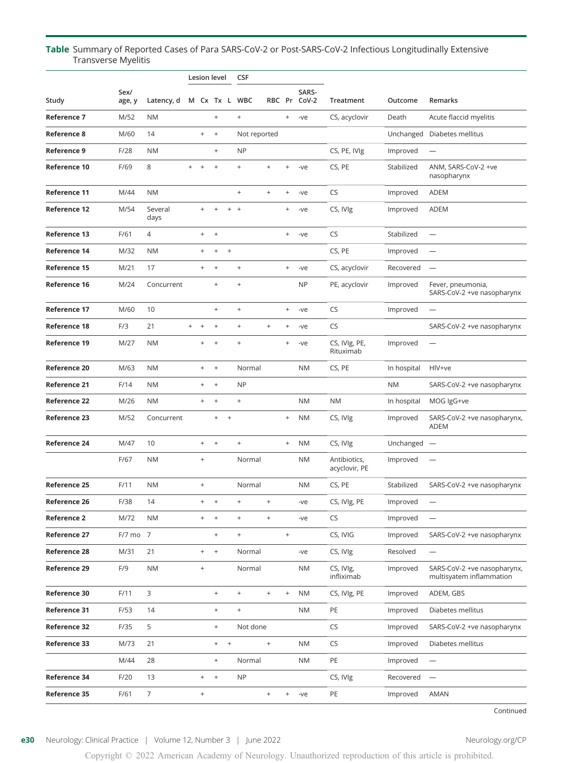#### Table Summary of Reported Cases of Para SARS-CoV-2 or Post-SARS-CoV-2 Infectious Longitudinally Extensive Transverse Myelitis

|                     |                |                 | <b>Lesion level</b>              |                                  |                                  | <b>CSF</b> |                                  |                                  |                                  |                       |                               |             |                                                         |
|---------------------|----------------|-----------------|----------------------------------|----------------------------------|----------------------------------|------------|----------------------------------|----------------------------------|----------------------------------|-----------------------|-------------------------------|-------------|---------------------------------------------------------|
| Study               | Sex/<br>age, y | Latency, d      |                                  |                                  |                                  |            | M Cx Tx L WBC                    |                                  |                                  | SARS-<br>RBC Pr CoV-2 | Treatment                     | Outcome     | Remarks                                                 |
| Reference 7         | M/52           | <b>NM</b>       |                                  |                                  | $\begin{array}{c} + \end{array}$ |            | $^{+}$                           |                                  | $\! + \!\!\!\!$                  | $-ve$                 | CS, acyclovir                 | Death       | Acute flaccid myelitis                                  |
| Reference 8         | M/60           | 14              |                                  | $\! + \!\!\!\!$                  | $^+$                             |            | Not reported                     |                                  |                                  |                       |                               | Unchanged   | Diabetes mellitus                                       |
| Reference 9         | F/28           | <b>NM</b>       |                                  |                                  | $\begin{array}{c} + \end{array}$ |            | <b>NP</b>                        |                                  |                                  |                       | CS, PE, IVIg                  | Improved    |                                                         |
| Reference 10        | F/69           | 8               | $^{+}$                           | $\! + \!$                        | $\,$ +                           |            | $\! + \!$                        | $\begin{array}{c} + \end{array}$ | $^+$                             | -ve                   | CS, PE                        | Stabilized  | ANM, SARS-CoV-2 +ve<br>nasopharynx                      |
| Reference 11        | M/44           | <b>NM</b>       |                                  |                                  |                                  |            | $\ddot{}$                        | $\qquad \qquad +$                | $\qquad \qquad +$                | -ve                   | <b>CS</b>                     | Improved    | ADEM                                                    |
| <b>Reference 12</b> | M/54           | Several<br>days |                                  | $\ddot{}$                        | $\begin{array}{c} + \end{array}$ | $+$        | $+$                              |                                  | $\! + \!\!\!\!$                  | -ve                   | CS, IVIg                      | Improved    | <b>ADEM</b>                                             |
| Reference 13        | F/61           | $\overline{4}$  |                                  | $+$                              | $\! + \!\!\!\!$                  |            |                                  |                                  | $\! + \!\!\!\!$                  | -ve                   | <b>CS</b>                     | Stabilized  | $\overline{\phantom{0}}$                                |
| Reference 14        | M/32           | <b>NM</b>       |                                  | $^{+}$                           | $\begin{array}{c} + \end{array}$ | $\ddot{}$  |                                  |                                  |                                  |                       | CS, PE                        | Improved    | $\overline{\phantom{0}}$                                |
| Reference 15        | M/21           | 17              |                                  | $^{+}$                           | $\! + \!\!\!\!$                  |            | $\begin{array}{c} + \end{array}$ |                                  | $\begin{array}{c} + \end{array}$ | -ve                   | CS, acyclovir                 | Recovered   | $\overline{\phantom{0}}$                                |
| Reference 16        | M/24           | Concurrent      |                                  |                                  | $^{+}$                           |            | $^{+}$                           |                                  |                                  | <b>NP</b>             | PE, acyclovir                 | Improved    | Fever, pneumonia,<br>SARS-CoV-2 +ve nasopharynx         |
| Reference 17        | M/60           | 10              |                                  |                                  | $+$                              |            | $\pm$                            |                                  | $\qquad \qquad +$                | -ve                   | CS                            | Improved    | $\overline{\phantom{0}}$                                |
| Reference 18        | F/3            | 21              | $\begin{array}{c} + \end{array}$ | $^{+}$                           | $\begin{array}{c} + \end{array}$ |            | $\! + \!$                        | $\qquad \qquad +$                | $\! + \!\!\!\!$                  | -ve                   | <b>CS</b>                     |             | SARS-CoV-2 +ve nasopharynx                              |
| Reference 19        | M/27           | <b>NM</b>       |                                  | $^{+}$                           | $\,$ +                           |            | $\begin{array}{c} + \end{array}$ |                                  | $\ddot{}$                        | -ve                   | CS, IVIg, PE,<br>Rituximab    | Improved    | $\overline{\phantom{m}}$                                |
| Reference 20        | M/63           | <b>NM</b>       |                                  | $^{+}$                           | $\! +$                           |            | Normal                           |                                  |                                  | <b>NM</b>             | CS, PE                        | In hospital | HIV+ve                                                  |
| Reference 21        | F/14           | <b>NM</b>       |                                  | $\begin{array}{c} + \end{array}$ | $\,$ +                           |            | <b>NP</b>                        |                                  |                                  |                       |                               | <b>NM</b>   | SARS-CoV-2 +ve nasopharynx                              |
| <b>Reference 22</b> | M/26           | <b>NM</b>       |                                  | $^{+}$                           | $\,$ +                           |            | $\! + \!$                        |                                  |                                  | <b>NM</b>             | <b>NM</b>                     | In hospital | MOG IgG+ve                                              |
| Reference 23        | M/52           | Concurrent      |                                  |                                  | $^{+}$                           | $\ddot{}$  |                                  |                                  | $\ddot{}$                        | <b>NM</b>             | CS, IVIg                      | Improved    | SARS-CoV-2 +ve nasopharynx,<br>ADEM                     |
| Reference 24        | M/47           | 10              |                                  | $^{+}$                           | $^+$                             |            | $\! +$                           |                                  | $\begin{array}{c} + \end{array}$ | <b>NM</b>             | CS, IVIg                      | Unchanged   | $\overline{\phantom{m}}$                                |
|                     | F/67           | <b>NM</b>       |                                  | $\! + \!$                        |                                  |            | Normal                           |                                  |                                  | <b>NM</b>             | Antibiotics,<br>acyclovir, PE | Improved    |                                                         |
| Reference 25        | F/11           | <b>NM</b>       |                                  | $\begin{array}{c} + \end{array}$ |                                  |            | Normal                           |                                  |                                  | <b>NM</b>             | CS, PE                        | Stabilized  | SARS-CoV-2 +ve nasopharynx                              |
| Reference 26        | F/38           | 14              |                                  | $+$                              | $\! + \!\!\!\!$                  |            | $+$                              | $+$                              |                                  | -ve                   | CS, IVIg, PE                  | Improved    |                                                         |
| <b>Reference 2</b>  | M/72           | <b>NM</b>       |                                  | $^{+}$                           | $\,$ +                           |            | $\begin{array}{c} + \end{array}$ | $\begin{array}{c} + \end{array}$ |                                  | -ve                   | CS                            | Improved    | $\overline{\phantom{m}}$                                |
| Reference 27        | F/7 mo 7       |                 |                                  |                                  | $^+$                             |            | $\! +$                           |                                  | $\boldsymbol{+}$                 |                       | CS, IVIG                      | Improved    | SARS-CoV-2 +ve nasopharynx                              |
| Reference 28        | M/31           | 21              |                                  | $^{+}$                           | $^{\mathrm{+}}$                  |            | Normal                           |                                  |                                  | -ve                   | CS, IVIg                      | Resolved    | $\overline{\phantom{0}}$                                |
| Reference 29        | F/9            | <b>NM</b>       |                                  | $^{+}$                           |                                  |            | Normal                           |                                  |                                  | <b>NM</b>             | CS, IVIg,<br>infliximab       | Improved    | SARS-CoV-2 +ve nasopharynx,<br>multisyatem inflammation |
| Reference 30        | F/11           | 3               |                                  |                                  | $^+$                             |            | $\! +$                           | $\! +$                           | $\begin{array}{c} + \end{array}$ | <b>NM</b>             | CS, IVIg, PE                  | Improved    | ADEM, GBS                                               |
| Reference 31        | F/53           | 14              |                                  |                                  | $^+$                             |            | $\! + \!$                        |                                  |                                  | <b>NM</b>             | PE                            | Improved    | Diabetes mellitus                                       |
| Reference 32        | F/35           | 5               |                                  |                                  | $\begin{array}{c} + \end{array}$ |            | Not done                         |                                  |                                  |                       | <b>CS</b>                     | Improved    | SARS-CoV-2 +ve nasopharynx                              |
| Reference 33        | M/73           | 21              |                                  |                                  | $\begin{array}{c} + \end{array}$ | $\ddot{}$  |                                  | $^+$                             |                                  | <b>NM</b>             | CS                            | Improved    | Diabetes mellitus                                       |
|                     | M/44           | 28              |                                  |                                  | $^+$                             |            | Normal                           |                                  |                                  | <b>NM</b>             | PE                            | Improved    | $\qquad \qquad -$                                       |
| Reference 34        | F/20           | 13              |                                  | $^{+}$                           | $^{\mathrm{+}}$                  |            | <b>NP</b>                        |                                  |                                  |                       | CS, IVIg                      | Recovered   | $\overline{\phantom{m}}$                                |
| Reference 35        | F/61           | $\overline{7}$  |                                  | $\! + \!$                        |                                  |            |                                  | $\! +$                           | $^{\mathrm{+}}$                  | -ve                   | PE                            | Improved    | AMAN                                                    |

Continued

#### e30 Neurology: Clinical Practice | Volume 12, Number 3 | June 2022 [Neurology.org/CP](http://neurology.org/cp)

Copyright © 2022 American Academy of Neurology. Unauthorized reproduction of this article is prohibited.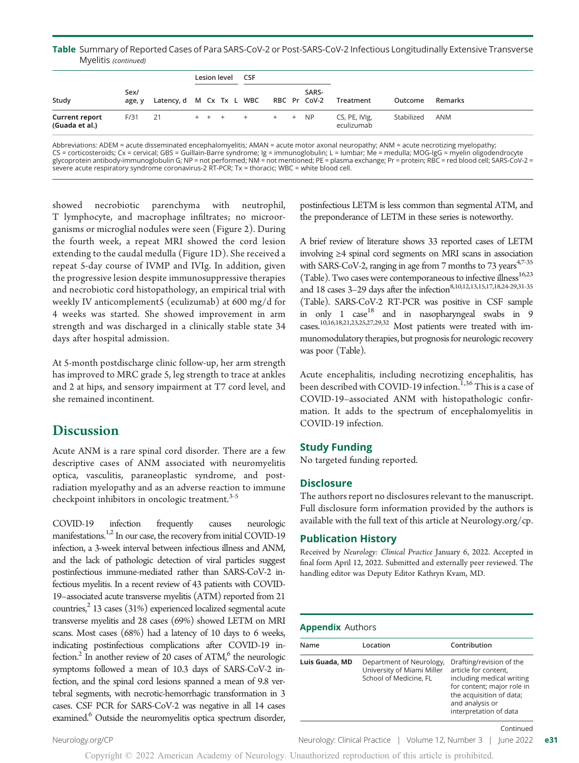#### Table Summary of Reported Cases of Para SARS-CoV-2 or Post-SARS-CoV-2 Infectious Longitudinally Extensive Transverse Myelitis (continued)

|                                         |                |                                       | Lesion level |  | <b>CSF</b>       |  |       |                             |            |         |
|-----------------------------------------|----------------|---------------------------------------|--------------|--|------------------|--|-------|-----------------------------|------------|---------|
| Study                                   | Sex/<br>age, y | Latency, d M Cx Tx L WBC RBC Pr CoV-2 |              |  |                  |  | SARS- | Treatment                   | Outcome    | Remarks |
| <b>Current report</b><br>(Guada et al.) | F/31 21        |                                       |              |  | + + + + + + + NP |  |       | CS, PE, IVIg,<br>eculizumab | Stabilized | ANM     |

Abbreviations: ADEM = acute disseminated encephalomyelitis; AMAN = acute motor axonal neuropathy; ANM = acute necrotizing myelopathy; CS = corticosteroids; Cx = cervical; GBS = Guillain-Barre syndrome; Ig = immunoglobulin; L = lumbar; Me = medulla; MOG-IgG = myelin oligodendrocyte<br>glycoprotein antibody-immunoglobulin G; NP = not performed; NM = not menti severe acute respiratory syndrome coronavirus-2 RT-PCR; Tx = thoracic; WBC = white blood cell.

showed necrobiotic parenchyma with neutrophil, T lymphocyte, and macrophage infiltrates; no microorganisms or microglial nodules were seen (Figure 2). During the fourth week, a repeat MRI showed the cord lesion extending to the caudal medulla (Figure 1D). She received a repeat 5-day course of IVMP and IVIg. In addition, given the progressive lesion despite immunosuppressive therapies and necrobiotic cord histopathology, an empirical trial with weekly IV anticomplement5 (eculizumab) at 600 mg/d for 4 weeks was started. She showed improvement in arm strength and was discharged in a clinically stable state 34 days after hospital admission.

At 5-month postdischarge clinic follow-up, her arm strength has improved to MRC grade 5, leg strength to trace at ankles and 2 at hips, and sensory impairment at T7 cord level, and she remained incontinent.

# **Discussion**

Acute ANM is a rare spinal cord disorder. There are a few descriptive cases of ANM associated with neuromyelitis optica, vasculitis, paraneoplastic syndrome, and postradiation myelopathy and as an adverse reaction to immune checkpoint inhibitors in oncologic treatment.<sup>3-5</sup>

COVID-19 infection frequently causes neurologic manifestations.<sup>1,2</sup> In our case, the recovery from initial COVID-19 infection, a 3-week interval between infectious illness and ANM, and the lack of pathologic detection of viral particles suggest postinfectious immune-mediated rather than SARS-CoV-2 infectious myelitis. In a recent review of 43 patients with COVID-19–associated acute transverse myelitis (ATM) reported from 21 countries, $^{2}$  13 cases (31%) experienced localized segmental acute transverse myelitis and 28 cases (69%) showed LETM on MRI scans. Most cases (68%) had a latency of 10 days to 6 weeks, indicating postinfectious complications after COVID-19 infection.<sup>2</sup> In another review of 20 cases of  $ATM$ ,  $6$  the neurologic symptoms followed a mean of 10.3 days of SARS-CoV-2 infection, and the spinal cord lesions spanned a mean of 9.8 vertebral segments, with necrotic-hemorrhagic transformation in 3 cases. CSF PCR for SARS-CoV-2 was negative in all 14 cases examined.<sup>6</sup> Outside the neuromyelitis optica spectrum disorder, postinfectious LETM is less common than segmental ATM, and the preponderance of LETM in these series is noteworthy.

A brief review of literature shows 33 reported cases of LETM involving ≥4 spinal cord segments on MRI scans in association with SARS-CoV-2, ranging in age from 7 months to 73 years<sup>47-35</sup> (Table). Two cases were contemporaneous to infective illness<sup>16,23</sup> and 18 cases 3-29 days after the infection  $8,10,12,13,15,17,18,24-29,31-35$ (Table). SARS-CoV-2 RT-PCR was positive in CSF sample in only 1  $\cose^{18}$  and in nasopharyngeal swabs in 9 cases.<sup>10,16,18,21,23,25,27,29,32</sup> Most patients were treated with immunomodulatory therapies, but prognosis for neurologic recovery was poor (Table).

Acute encephalitis, including necrotizing encephalitis, has been described with COVID-19 infection.<sup>1,36</sup> This is a case of COVID-19–associated ANM with histopathologic confirmation. It adds to the spectrum of encephalomyelitis in COVID-19 infection.

#### Study Funding

No targeted funding reported.

#### **Disclosure**

The authors report no disclosures relevant to the manuscript. Full disclosure form information provided by the authors is available with the full text of this article at [Neurology.org/cp.](https://cp.neurology.org/lookup/doi/10.1212/CPJ.0000000000001175)

#### Publication History

Received by Neurology: Clinical Practice January 6, 2022. Accepted in final form April 12, 2022. Submitted and externally peer reviewed. The handling editor was Deputy Editor Kathryn Kvam, MD.

#### Appendix Authors

| Name           | Location                                                                         | Contribution                                                                                                                                                                         |
|----------------|----------------------------------------------------------------------------------|--------------------------------------------------------------------------------------------------------------------------------------------------------------------------------------|
| Luis Guada, MD | Department of Neurology,<br>University of Miami Miller<br>School of Medicine, FL | Drafting/revision of the<br>article for content.<br>including medical writing<br>for content; major role in<br>the acquisition of data;<br>and analysis or<br>interpretation of data |
|                |                                                                                  | Continued                                                                                                                                                                            |

[Neurology.org/CP](http://neurology.org/cp) **Neurology.clinical Practice | Volume 12, Number 3 | June 2022 e31**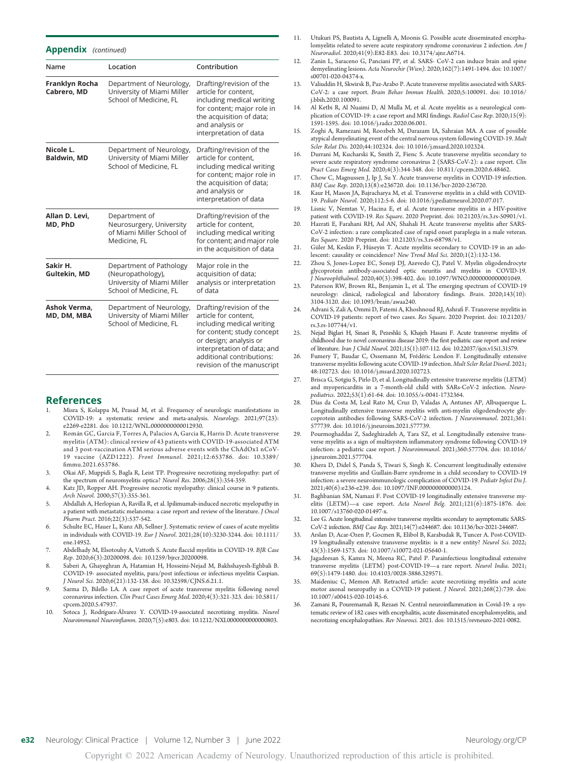| <b>Appenuix</b> ( <i>continuea</i> ) |                                                                                                      |                                                                                                                                                                                                                                 |  |  |  |
|--------------------------------------|------------------------------------------------------------------------------------------------------|---------------------------------------------------------------------------------------------------------------------------------------------------------------------------------------------------------------------------------|--|--|--|
| Name                                 | Location                                                                                             | Contribution                                                                                                                                                                                                                    |  |  |  |
| Franklyn Rocha<br>Cabrero, MD        | Department of Neurology,<br>University of Miami Miller<br>School of Medicine, FL                     | Drafting/revision of the<br>article for content,<br>including medical writing<br>for content; major role in<br>the acquisition of data;<br>and analysis or<br>interpretation of data                                            |  |  |  |
| Nicole L.<br><b>Baldwin, MD</b>      | Department of Neurology,<br>University of Miami Miller<br>School of Medicine, FL                     | Drafting/revision of the<br>article for content,<br>including medical writing<br>for content; major role in<br>the acquisition of data;<br>and analysis or<br>interpretation of data                                            |  |  |  |
| Allan D. Levi,<br>MD, PhD            | Department of<br>Neurosurgery, University<br>of Miami Miller School of<br>Medicine, FL               | Drafting/revision of the<br>article for content,<br>including medical writing<br>for content; and major role<br>in the acquisition of data                                                                                      |  |  |  |
| Sakir H.<br>Gultekin, MD             | Department of Pathology<br>(Neuropathology),<br>University of Miami Miller<br>School of Medicine, FL | Major role in the<br>acquisition of data;<br>analysis or interpretation<br>of data                                                                                                                                              |  |  |  |
| Ashok Verma,<br>MD, DM, MBA          | Department of Neurology,<br>University of Miami Miller<br>School of Medicine, FL                     | Drafting/revision of the<br>article for content,<br>including medical writing<br>for content; study concept<br>or design; analysis or<br>interpretation of data; and<br>additional contributions:<br>revision of the manuscript |  |  |  |

#### References

Appendix (continued)

- 1. Misra S, Kolappa M, Prasad M, et al. Frequency of neurologic manifestations in COVID-19: a systematic review and meta-analysis. Neurology. 2021;97(23): e2269-e2281. doi: 10.1212/WNL.0000000000012930.
- 2. Román GC, Garcia F, Torres A, Palacios A, Garcia K, Harris D. Acute transverse myelitis (ATM): clinical review of 43 patients with COVID-19-associated ATM and 3 post-vaccination ATM serious adverse events with the ChAdOx1 nCoV-19 vaccine (AZD1222). Front Immunol. 2021;12:653786. doi: 10.3389/ fimmu.2021.653786.
- 3. Okai AF, Muppidi S, Bagla R, Leist TP. Progressive necrotizing myelopathy: part of the spectrum of neuromyelitis optica? Neurol Res. 2006;28(3):354-359.
- 4. Katz JD, Ropper AH. Progressive necrotic myelopathy: clinical course in 9 patients. Arch Neurol. 2000;57(3):355-361.
- 5. Abdallah A, Herlopian A, Ravilla R, et al. Ipilimumab-induced necrotic myelopathy in a patient with metastatic melanoma: a case report and review of the literature. J Oncol Pharm Pract. 2016;22(3):537-542.
- 6. Schulte EC, Hauer L, Kunz AB, Sellner J. Systematic review of cases of acute myelitis in individuals with COVID-19. Eur J Neurol. 2021;28(10):3230-3244. doi: 10.1111/ ene.14952.
- 7. Abdelhady M, Elsotouhy A, Vattoth S. Acute flaccid myelitis in COVID-19. BJR Case Rep. 2020;6(3):20200098. doi: 10.1259/bjrcr.20200098.
- 8. Saberi A, Ghayeghran A, Hatamian H, Hosseini-Nejad M, Bakhshayesh-Eghbali B. COVID-19- associated myelitis, para/post infectious or infectious myelitis Caspian. J Neurol Sci. 2020;6(21):132-138. doi: 10.32598/CJNS.6.21.1.
- 9. Sarma D, Bilello LA. A case report of acute transverse myelitis following novel coronavirus infection. Clin Pract Cases Emerg Med. 2020;4(3):321-323. doi: 10.5811/ cpcem.2020.5.47937.
- 10. Sotoca J, Rodríguez-Álvarez Y. COVID-19-associated necrotizing myelitis. Neurol Neuroimmunol Neuroinflamm. 2020;7(5):e803. doi: 10.1212/NXI.0000000000000803.
- 11. Utukuri PS, Bautista A, Lignelli A, Moonis G. Possible acute disseminated encephalomyelitis related to severe acute respiratory syndrome coronavirus 2 infection. Am J Neuroradiol. 2020;41(9):E82-E83. doi: 10.3174/ajnr.A6714.
- 12. Zanin L, Saraceno G, Panciani PP, et al. SARS- CoV-2 can induce brain and spine demyelinating lesions. Acta Neurochir (Wien). 2020;162(7):1491-1494. doi: 10.1007/ s00701-020-04374-x.
- 13. Valiuddin H, Skwirsk B, Paz-Arabo P. Acute transverse myelitis associated with SARS-CoV-2: a case report. Brain Behav Immun Health. 2020;5:100091. doi: 10.1016/ j.bbih.2020.100091.
- 14. Al Ketbi R, Al Nuaimi D, Al Mulla M, et al. Acute myelitis as a neurological complication of COVID-19: a case report and MRI findings. Radiol Case Rep. 2020;15(9): 1591-1595. doi: 10.1016/j.radcr.2020.06.001.
- 15. Zoghi A, Ramezani M, Roozbeh M, Darazam IA, Sahraian MA. A case of possible atypical demyelinating event of the central nervous system following COVID-19. Mult Scler Relat Dis. 2020;44:102324. doi: 10.1016/j.msard.2020.102324.
- 16. Durrani M, Kucharski K, Smith Z, Fienc S. Acute transverse myelitis secondary to severe acute respiratory syndrome coronavirus 2 (SARS-CoV-2): a case report. Clin Pract Cases Emerg Med. 2020;4(3):344-348. doi: 10.811/cpcem.2020.6.48462.
- 17. Chow C, Magnussen J, Ip J, Su Y. Acute transverse myelitis in COVID-19 infection. BMJ Case Rep. 2020;13(8):e236720. doi: 10.1136/bcr-2020-236720.
- 18. Kaur H, Mason JA, Bajracharya M, et al. Transverse myelitis in a child with COVID-19. Pediatr Neurol. 2020;112:5-6. doi: 10.1016/j.pediatrneurol.2020.07.017.
- 19. Lisnic V, Nemtan V, Hacina E, et al. Acute transverse myelitis in a HIV-positive patient with COVID-19. Res Square. 2020 Preprint. doi: 10.21203/rs.3.rs-50901/v1.
- 20. Hazrati E, Farahani RH, Asl AN, Shahali H. Acute transverse myelitis after SARS-CoV-2 infection: a rare complicated case of rapid onset paraplegia in a male veteran. Res Square. 2020 Preprint. doi: 10.21203/rs.3.rs-68798/v1.
- 21. Güler M, Keskin F, Hüseyin T. Acute myelitis secondary to COVID-19 in an adolescent: causality or coincidence? New Trend Med Sci. 2020;1(2):132-136.
- 22. Zhou S, Jones-Lopez EC, Soneji DJ, Azevedo CJ, Patel V. Myelin oligodendrocyte glycoprotein antibody-associated optic neuritis and myelitis in COVID-19. J Neuroophthalmol. 2020;40(3):398-402. doi: 10.1097/WNO.0000000000001049.
- 23. Paterson RW, Brown RL, Benjamin L, et al. The emerging spectrum of COVID-19 neurology: clinical, radiological and laboratory findings. Brain. 2020;143(10): 3104-3120. doi: 10.1093/brain/awaa240.
- 24. Advani S, Zali A, Ommi D, Fatemi A, Khoshnoud RJ, Ashrafi F. Transverse myelitis in COVID-19 patients: report of two cases. Res Square. 2020 Preprint. doi: 10.21203/ rs.3.rs-107744/v1.
- 25. Nejad Biglari H, Sinaei R, Pezeshki S, Khajeh Hasani F. Acute transverse myelitis of childhood due to novel coronavirus disease 2019: the first pediatric case report and review of literature. Iran J Child Neurol. 2021;15(1):107-112. doi: 10.22037/ijcn.v15i1.31579.
- 26. Fumery T, Baudar C, Ossemann M, Frédéric London F. Longitudinally extensive transverse myelitis following acute COVID-19 infection. Mult Scler Relat Disord. 2021; 48:102723. doi: 10.1016/j.msard.2020.102723.
- 27. Brisca G, Sotgiu S, Pirlo D, et al. Longitudinally extensive transverse myelitis (LETM) and myopericarditis in a 7-month-old child with SARs-CoV-2 infection. Neuropediatrics. 2022;53(1):61-64. doi: 10.1055/s-0041-1732364.
- 28. Dias da Costa M, Leal Rato M, Cruz D, Valadas A, Antunes AP, Albuquerque L. Longitudinally extensive transverse myelitis with anti-myelin oligodendrocyte coprotein antibodies following SARS-CoV-2 infection. J Neuroimmunol. 2021;361: 577739. doi: 10.1016/j.jneuroim.2021.577739.
- 29. Pourmoghaddas Z, Sadeghizadeh A, Tara SZ, et al. Longitudinally extensive transverse myelitis as a sign of multisystem inflammatory syndrome following COVID-19 infection: a pediatric case report. J Neuroimmunol. 2021;360:577704. doi: 10.1016/ j.jneuroim.2021.577704.
- Khera D, Didel S, Panda S, Tiwari S, Singh K. Concurrent longitudinally extensive transverse myelitis and Guillain-Barre syndrome in a child secondary to COVID-19 infection: a severe neuroimmunologic complication of COVID-19. Pediatr Infect Dis J. 2021;40(6):e236-e239. doi: 10.1097/INF.0000000000003124.
- 31. Baghbanian SM, Namazi F. Post COVID-19 longitudinally extensive transverse myelitis (LETM)—a case report. Acta Neurol Belg. 2021;121(6):1875-1876. doi: 10.1007/s13760-020-01497-x.
- 32. Lee G. Acute longitudinal extensive transverse myelitis secondary to asymptomatic SARS-CoV-2 infection. BMJ Case Rep. 2021;14(7):e244687. doi: 10.1136/bcr-2021-244687.
- 33. Arslan D, Acar-Ozen P, Gocmen R, Elibol B, Karabudak R, Tuncer A. Post-COVID-19 longitudinally extensive transverse myelitis: is it a new entity? Neurol Sci. 2022; 43(3):1569-1573. doi: 10.1007/s10072-021-05640-1.
- 34. Jagadeesan S, Kamra N, Meena RC, Patel P. Parainfectious longitudinal extensive transverse myelitis (LETM) post-COVID-19—a rare report. Neurol India. 2021; 69(5):1479-1480. doi: 10.4103/0028-3886.329571.
- 35. Maideniuc C, Memon AB. Retracted article: acute necrotizing myelitis and acute motor axonal neuropathy in a COVID-19 patient. J Neurol. 2021;268(2):739. doi: 10.1007/s00415-020-10145-6.
- 36. Zamani R, Pouremamali R, Rezaei N. Central neuroinflammation in Covid-19: a systematic review of 182 cases with encephalitis, acute disseminated encephalomyelitis, and necrotizing encephalopathies. Rev Neurosci. 2021. doi: 10.1515/revneuro-2021-0082.